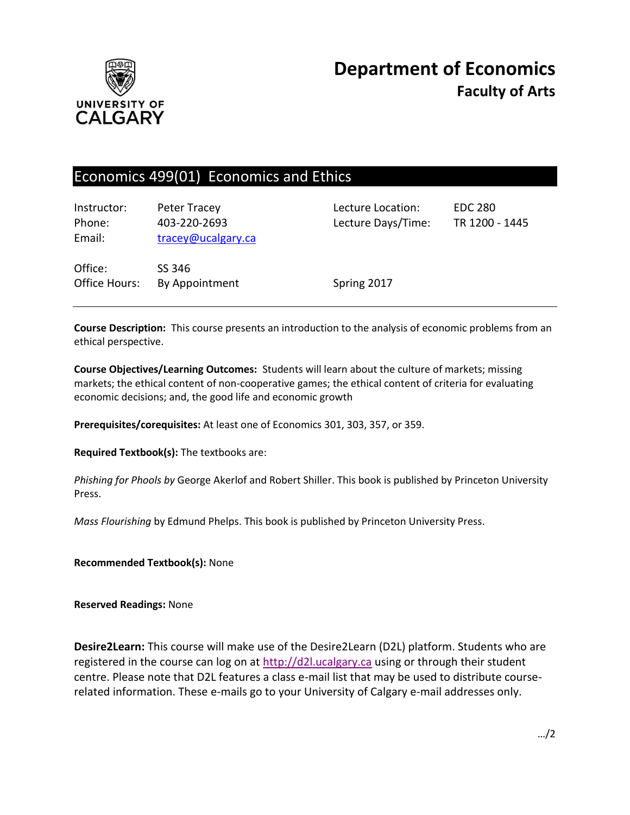

# Economics 499(01) Economics and Ethics

| Instructor:<br>Phone:<br>Email: | Peter Tracey<br>403-220-2693<br>tracey@ucalgary.ca | Lecture Location:<br>Lecture Days/Time: | EDC 280<br>TR 1200 - 1445 |
|---------------------------------|----------------------------------------------------|-----------------------------------------|---------------------------|
| Office:<br>Office Hours:        | SS 346<br>By Appointment                           | Spring 2017                             |                           |

**Course Description:** This course presents an introduction to the analysis of economic problems from an ethical perspective.

**Course Objectives/Learning Outcomes:** Students will learn about the culture of markets; missing markets; the ethical content of non-cooperative games; the ethical content of criteria for evaluating economic decisions; and, the good life and economic growth

**Prerequisites/corequisites:** At least one of Economics 301, 303, 357, or 359.

**Required Textbook(s):** The textbooks are:

*Phishing for Phools by* George Akerlof and Robert Shiller. This book is published by Princeton University Press.

*Mass Flourishing* by Edmund Phelps. This book is published by Princeton University Press.

**Recommended Textbook(s):** None

**Reserved Readings:** None

**Desire2Learn:** This course will make use of the Desire2Learn (D2L) platform. Students who are registered in the course can log on at [http://d2l.ucalgary.ca](http://d2l.ucalgary.ca/) using or through their student centre. Please note that D2L features a class e-mail list that may be used to distribute courserelated information. These e-mails go to your University of Calgary e-mail addresses only.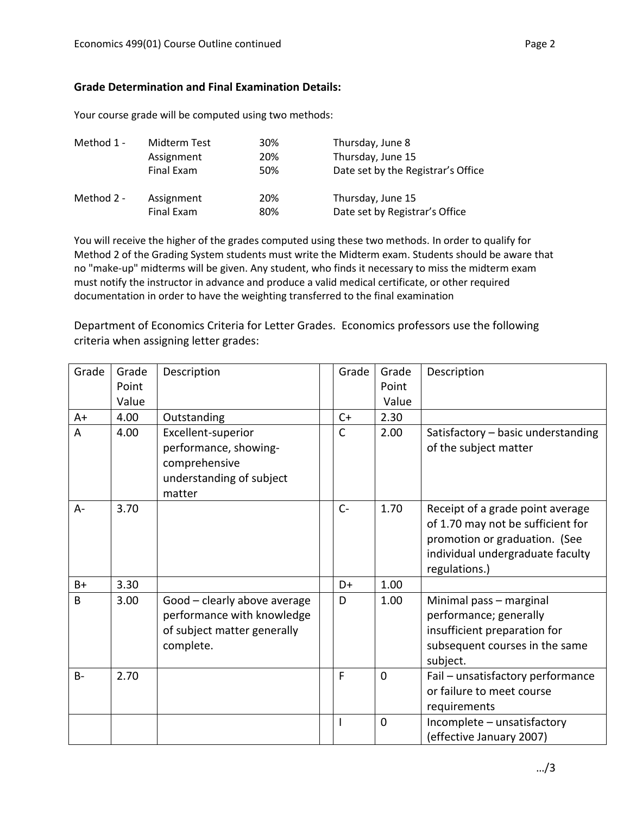## **Grade Determination and Final Examination Details:**

Your course grade will be computed using two methods:

| Method 1 - | Midterm Test | 30% | Thursday, June 8                   |
|------------|--------------|-----|------------------------------------|
|            | Assignment   | 20% | Thursday, June 15                  |
|            | Final Exam   | 50% | Date set by the Registrar's Office |
| Method 2 - | Assignment   | 20% | Thursday, June 15                  |
|            | Final Exam   | 80% | Date set by Registrar's Office     |

You will receive the higher of the grades computed using these two methods. In order to qualify for Method 2 of the Grading System students must write the Midterm exam. Students should be aware that no "make-up" midterms will be given. Any student, who finds it necessary to miss the midterm exam must notify the instructor in advance and produce a valid medical certificate, or other required documentation in order to have the weighting transferred to the final examination

Department of Economics Criteria for Letter Grades. Economics professors use the following criteria when assigning letter grades:

| Grade     | Grade<br>Point<br>Value | Description                                                                                            | Grade | Grade<br>Point<br>Value | Description                                                                                                                                                 |
|-----------|-------------------------|--------------------------------------------------------------------------------------------------------|-------|-------------------------|-------------------------------------------------------------------------------------------------------------------------------------------------------------|
| $A+$      | 4.00                    | Outstanding                                                                                            | $C+$  | 2.30                    |                                                                                                                                                             |
| A         | 4.00                    | Excellent-superior<br>performance, showing-<br>comprehensive<br>understanding of subject<br>matter     | C     | 2.00                    | Satisfactory - basic understanding<br>of the subject matter                                                                                                 |
| $A -$     | 3.70                    |                                                                                                        | $C -$ | 1.70                    | Receipt of a grade point average<br>of 1.70 may not be sufficient for<br>promotion or graduation. (See<br>individual undergraduate faculty<br>regulations.) |
| $B+$      | 3.30                    |                                                                                                        | D+    | 1.00                    |                                                                                                                                                             |
| B         | 3.00                    | Good - clearly above average<br>performance with knowledge<br>of subject matter generally<br>complete. | D     | 1.00                    | Minimal pass - marginal<br>performance; generally<br>insufficient preparation for<br>subsequent courses in the same<br>subject.                             |
| <b>B-</b> | 2.70                    |                                                                                                        | F     | $\mathbf 0$             | Fail - unsatisfactory performance<br>or failure to meet course<br>requirements                                                                              |
|           |                         |                                                                                                        |       | $\mathbf 0$             | Incomplete - unsatisfactory<br>(effective January 2007)                                                                                                     |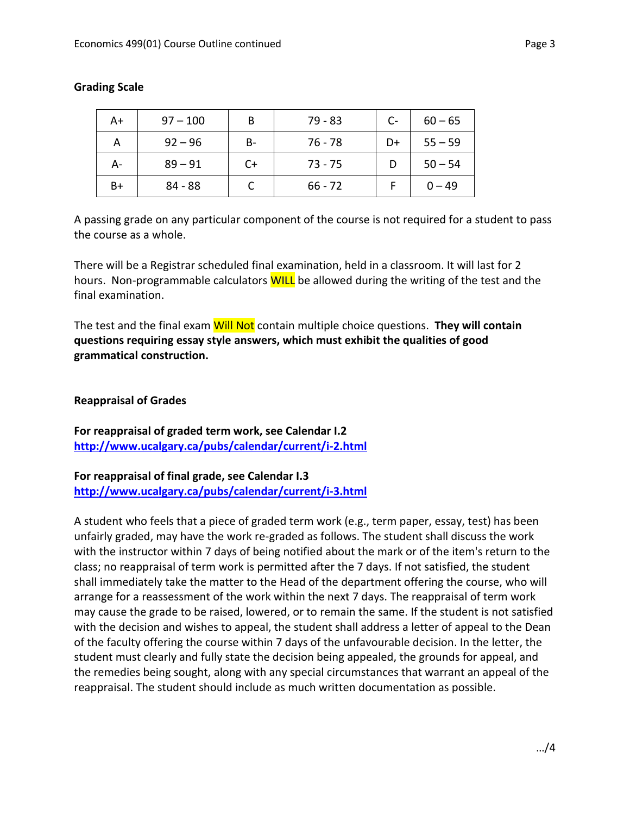| $A+$ | $97 - 100$ | В  | $79 - 83$ | $C-$ | $60 - 65$ |
|------|------------|----|-----------|------|-----------|
| А    | $92 - 96$  | B- | 76 - 78   | D+   | $55 - 59$ |
| A-   | $89 - 91$  | C+ | $73 - 75$ |      | $50 - 54$ |
| $B+$ | 84 - 88    |    | $66 - 72$ |      | $0 - 49$  |

### **Grading Scale**

A passing grade on any particular component of the course is not required for a student to pass the course as a whole.

There will be a Registrar scheduled final examination, held in a classroom. It will last for 2 hours. Non-programmable calculators **WILL** be allowed during the writing of the test and the final examination.

The test and the final exam Will Not contain multiple choice questions. **They will contain questions requiring essay style answers, which must exhibit the qualities of good grammatical construction.**

#### **Reappraisal of Grades**

**For reappraisal of graded term work, see Calendar I.2 <http://www.ucalgary.ca/pubs/calendar/current/i-2.html>**

**For reappraisal of final grade, see Calendar I.3 <http://www.ucalgary.ca/pubs/calendar/current/i-3.html>**

A student who feels that a piece of graded term work (e.g., term paper, essay, test) has been unfairly graded, may have the work re-graded as follows. The student shall discuss the work with the instructor within 7 days of being notified about the mark or of the item's return to the class; no reappraisal of term work is permitted after the 7 days. If not satisfied, the student shall immediately take the matter to the Head of the department offering the course, who will arrange for a reassessment of the work within the next 7 days. The reappraisal of term work may cause the grade to be raised, lowered, or to remain the same. If the student is not satisfied with the decision and wishes to appeal, the student shall address a letter of appeal to the Dean of the faculty offering the course within 7 days of the unfavourable decision. In the letter, the student must clearly and fully state the decision being appealed, the grounds for appeal, and the remedies being sought, along with any special circumstances that warrant an appeal of the reappraisal. The student should include as much written documentation as possible.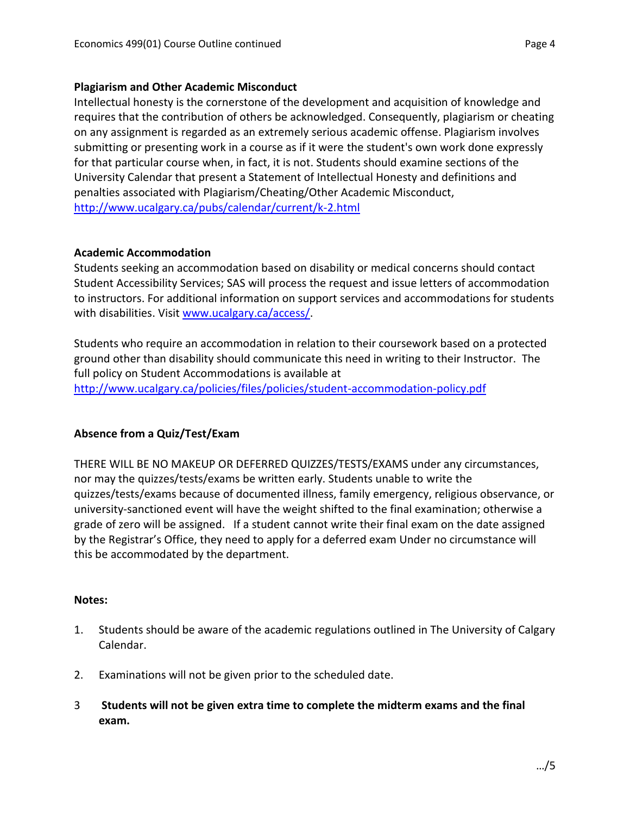## **Plagiarism and Other Academic Misconduct**

Intellectual honesty is the cornerstone of the development and acquisition of knowledge and requires that the contribution of others be acknowledged. Consequently, plagiarism or cheating on any assignment is regarded as an extremely serious academic offense. Plagiarism involves submitting or presenting work in a course as if it were the student's own work done expressly for that particular course when, in fact, it is not. Students should examine sections of the University Calendar that present a Statement of Intellectual Honesty and definitions and penalties associated with Plagiarism/Cheating/Other Academic Misconduct, <http://www.ucalgary.ca/pubs/calendar/current/k-2.html>

# **Academic Accommodation**

Students seeking an accommodation based on disability or medical concerns should contact Student Accessibility Services; SAS will process the request and issue letters of accommodation to instructors. For additional information on support services and accommodations for students with disabilities. Visit [www.ucalgary.ca/access/.](http://www.ucalgary.ca/access/)

Students who require an accommodation in relation to their coursework based on a protected ground other than disability should communicate this need in writing to their Instructor. The full policy on Student Accommodations is available at <http://www.ucalgary.ca/policies/files/policies/student-accommodation-policy.pdf>

# **Absence from a Quiz/Test/Exam**

THERE WILL BE NO MAKEUP OR DEFERRED QUIZZES/TESTS/EXAMS under any circumstances, nor may the quizzes/tests/exams be written early. Students unable to write the quizzes/tests/exams because of documented illness, family emergency, religious observance, or university-sanctioned event will have the weight shifted to the final examination; otherwise a grade of zero will be assigned. If a student cannot write their final exam on the date assigned by the Registrar's Office, they need to apply for a deferred exam Under no circumstance will this be accommodated by the department.

## **Notes:**

- 1. Students should be aware of the academic regulations outlined in The University of Calgary Calendar.
- 2. Examinations will not be given prior to the scheduled date.
- 3 **Students will not be given extra time to complete the midterm exams and the final exam.**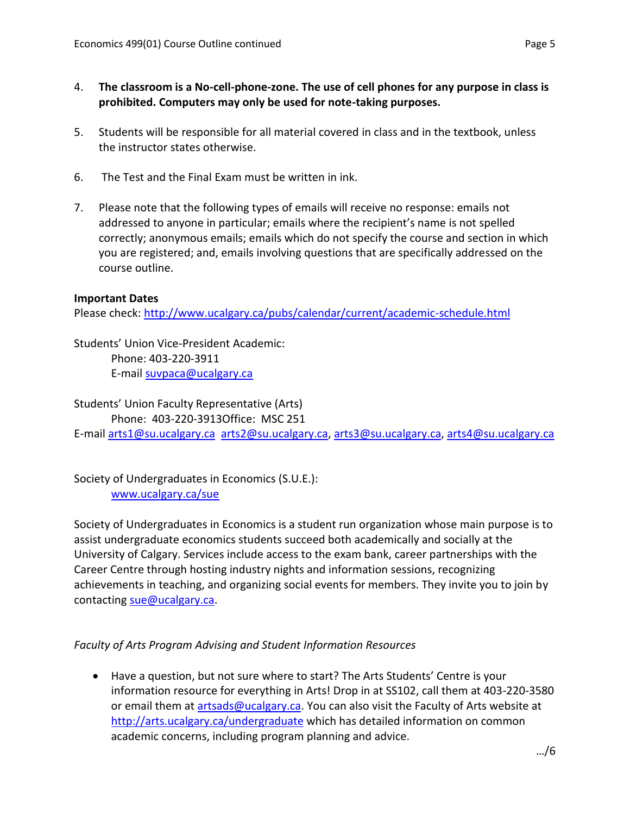- 4. **The classroom is a No-cell-phone-zone. The use of cell phones for any purpose in class is prohibited. Computers may only be used for note-taking purposes.**
- 5. Students will be responsible for all material covered in class and in the textbook, unless the instructor states otherwise.
- 6. The Test and the Final Exam must be written in ink.
- 7. Please note that the following types of emails will receive no response: emails not addressed to anyone in particular; emails where the recipient's name is not spelled correctly; anonymous emails; emails which do not specify the course and section in which you are registered; and, emails involving questions that are specifically addressed on the course outline.

# **Important Dates**

Please check:<http://www.ucalgary.ca/pubs/calendar/current/academic-schedule.html>

Students' Union Vice-President Academic: Phone: 403-220-3911 E-mail [suvpaca@ucalgary.ca](mailto:subpaca@ucalgary.ca)

Students' Union Faculty Representative (Arts) Phone: 403-220-3913Office: MSC 251

E-mail [arts1@su.ucalgary.ca](mailto:arts1@su.ucalgary.ca) [arts2@su.ucalgary.ca,](mailto:arts2@su.ucalgary.ca) [arts3@su.ucalgary.ca,](mailto:arts3@su.ucalgary.ca) [arts4@su.ucalgary.ca](mailto:arts4@su.ucalgary.ca)

Society of Undergraduates in Economics (S.U.E.): [www.ucalgary.ca/sue](http://www.fp.ucalgary.ca/econ)

Society of Undergraduates in Economics is a student run organization whose main purpose is to assist undergraduate economics students succeed both academically and socially at the University of Calgary. Services include access to the exam bank, career partnerships with the Career Centre through hosting industry nights and information sessions, recognizing achievements in teaching, and organizing social events for members. They invite you to join by contacting [sue@ucalgary.ca.](mailto:sue@ucalgary.ca)

*Faculty of Arts Program Advising and Student Information Resources*

 Have a question, but not sure where to start? The Arts Students' Centre is your information resource for everything in Arts! Drop in at SS102, call them at 403-220-3580 or email them at [artsads@ucalgary.ca.](mailto:artsads@ucalgary.ca) You can also visit the Faculty of Arts website at <http://arts.ucalgary.ca/undergraduate> which has detailed information on common academic concerns, including program planning and advice.